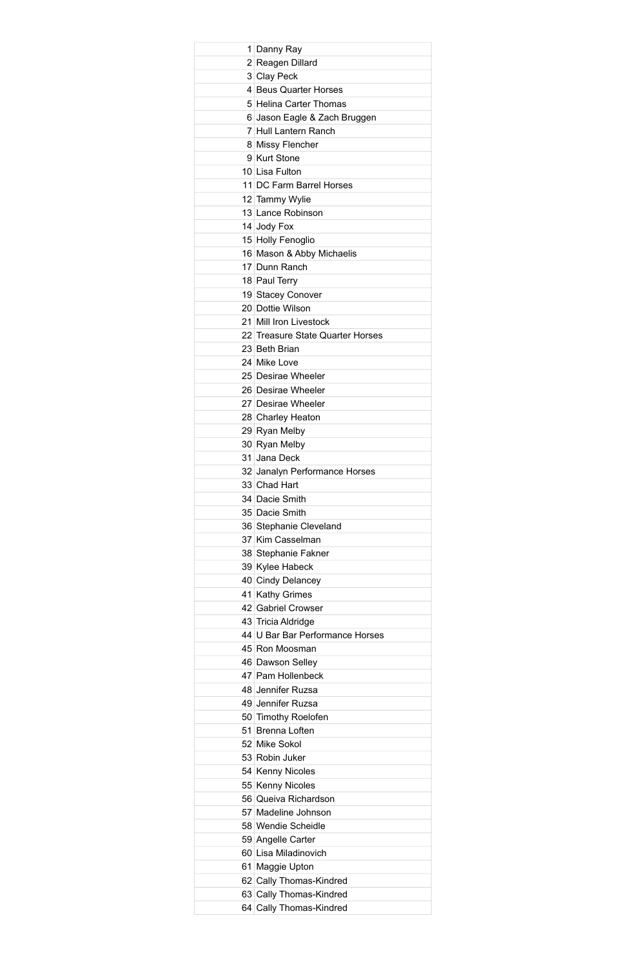| 1 Danny Ray                      |
|----------------------------------|
| 2 Reagen Dillard                 |
| 3 Clay Peck                      |
| 4 Beus Quarter Horses            |
| 5 Helina Carter Thomas           |
| 6 Jason Eagle & Zach Bruggen     |
|                                  |
| 7 Hull Lantern Ranch             |
| 8 Missy Flencher                 |
| 9 Kurt Stone                     |
| 10 Lisa Fulton                   |
| 11 DC Farm Barrel Horses         |
| 12 Tammy Wylie                   |
| 13 Lance Robinson                |
| 14 Jody Fox                      |
| 15 Holly Fenoglio                |
| 16 Mason & Abby Michaelis        |
| 17 Dunn Ranch                    |
|                                  |
| 18 Paul Terry                    |
| 19 Stacey Conover                |
| 20 Dottie Wilson                 |
| 21 Mill Iron Livestock           |
| 22 Treasure State Quarter Horses |
| 23 Beth Brian                    |
| 24 Mike Love                     |
| 25 Desirae Wheeler               |
| 26 Desirae Wheeler               |
| 27 Desirae Wheeler               |
|                                  |
| 28 Charley Heaton                |
| 29 Ryan Melby                    |
| 30 Ryan Melby                    |
| 31 Jana Deck                     |
| 32 Janalyn Performance Horses    |
| 33 Chad Hart                     |
| 34 Dacie Smith                   |
| 35 Dacie Smith                   |
| 36 Stephanie Cleveland           |
| 37 Kim Casselman                 |
|                                  |
| 38 Stephanie Fakner              |
| 39 Kylee Habeck                  |
| 40 Cindy Delancey                |
| 41 Kathy Grimes                  |
| 42 Gabriel Crowser               |
| 43 Tricia Aldridge               |
| 44 U Bar Bar Performance Horses  |
| 45 Ron Moosman                   |
| 46 Dawson Selley                 |
| 47 Pam Hollenbeck                |
| 48 Jennifer Ruzsa                |
|                                  |
| 49 Jennifer Ruzsa                |
| 50 Timothy Roelofen              |
| 51 Brenna Loften                 |
| 52 Mike Sokol                    |
| 53 Robin Juker                   |
| 54 Kenny Nicoles                 |
| 55 Kenny Nicoles                 |
| 56 Queiva Richardson             |
| 57 Madeline Johnson              |
| 58 Wendie Scheidle               |
| 59 Angelle Carter                |
| 60 Lisa Miladinovich             |
|                                  |
| 61 Maggie Upton                  |
|                                  |
| 62 Cally Thomas-Kindred          |
| 63 Cally Thomas-Kindred          |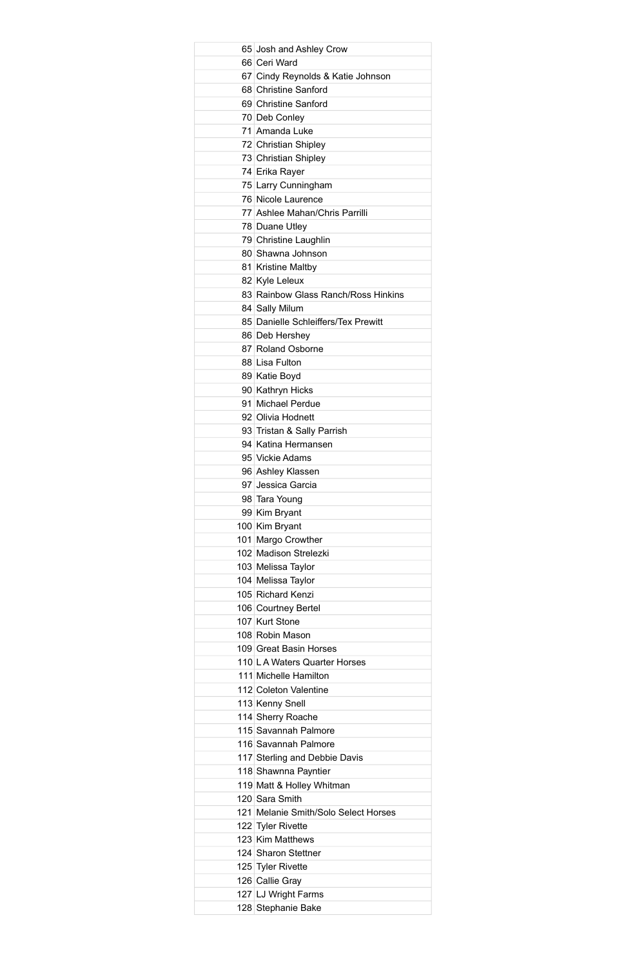| 65 Josh and Ashley Crow              |
|--------------------------------------|
| 66 Ceri Ward                         |
| 67 Cindy Reynolds & Katie Johnson    |
| 68 Christine Sanford                 |
| 69 Christine Sanford                 |
| 70 Deb Conley                        |
| 71 Amanda Luke                       |
| 72 Christian Shipley                 |
| 73 Christian Shipley                 |
| 74 Erika Rayer                       |
| 75 Larry Cunningham                  |
| 76 Nicole Laurence                   |
| 77 Ashlee Mahan/Chris Parrilli       |
| 78 Duane Utley                       |
| 79 Christine Laughlin                |
| 80 Shawna Johnson                    |
|                                      |
| 81 Kristine Maltby                   |
| 82 Kyle Leleux                       |
| 83 Rainbow Glass Ranch/Ross Hinkins  |
| 84 Sally Milum                       |
| 85 Danielle Schleiffers/Tex Prewitt  |
| 86 Deb Hershey                       |
| 87 Roland Osborne                    |
| 88 Lisa Fulton                       |
| 89 Katie Boyd                        |
| 90 Kathryn Hicks                     |
| 91 Michael Perdue                    |
| 92 Olivia Hodnett                    |
| 93 Tristan & Sally Parrish           |
| 94 Katina Hermansen                  |
| 95 Vickie Adams                      |
| 96 Ashley Klassen                    |
| 97 Jessica Garcia                    |
| 98 Tara Young                        |
| 99 Kim Bryant                        |
| 100 Kim Bryant                       |
| 101 Margo Crowther                   |
| 102 Madison Strelezki                |
| 103 Melissa Taylor                   |
|                                      |
| 104 Melissa Taylor                   |
| 105 Richard Kenzi                    |
| 106 Courtney Bertel                  |
| 107 Kurt Stone                       |
| 108 Robin Mason                      |
| 109 Great Basin Horses               |
| 110 L A Waters Quarter Horses        |
| 111 Michelle Hamilton                |
| 112 Coleton Valentine                |
| 113 Kenny Snell                      |
| 114 Sherry Roache                    |
| 115 Savannah Palmore                 |
| 116 Savannah Palmore                 |
| 117 Sterling and Debbie Davis        |
| 118 Shawnna Payntier                 |
| 119 Matt & Holley Whitman            |
| 120 Sara Smith                       |
| 121 Melanie Smith/Solo Select Horses |
| 122 Tyler Rivette                    |
| 123 Kim Matthews                     |
| 124 Sharon Stettner                  |
|                                      |
| 125 Tyler Rivette                    |
| 126 Callie Gray                      |
| 127 LJ Wright Farms                  |
| 128 Stephanie Bake                   |